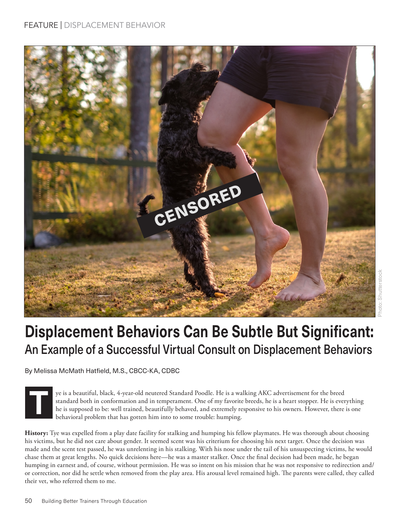

## **Displacement Behaviors Can Be Subtle But Significant:**  An Example of a Successful Virtual Consult on Displacement Behaviors

By Melissa McMath Hatfield, M.S., CBCC-KA, CDBC

**T**

ye is a beautiful, black, 4-year-old neutered Standard Poodle. He is a walking AKC advertisement for the breed standard both in conformation and in temperament. One of my favorite breeds, he is a heart stopper. He is everything he is supposed to be: well trained, beautifully behaved, and extremely responsive to his owners. However, there is one behavioral problem that has gotten him into to some trouble: humping.

**History:** Tye was expelled from a play date facility for stalking and humping his fellow playmates. He was thorough about choosing his victims, but he did not care about gender. It seemed scent was his criterium for choosing his next target. Once the decision was made and the scent test passed, he was unrelenting in his stalking. With his nose under the tail of his unsuspecting victims, he would chase them at great lengths. No quick decisions here—he was a master stalker. Once the final decision had been made, he began humping in earnest and, of course, without permission. He was so intent on his mission that he was not responsive to redirection and/ or correction, nor did he settle when removed from the play area. His arousal level remained high. The parents were called, they called their vet, who referred them to me.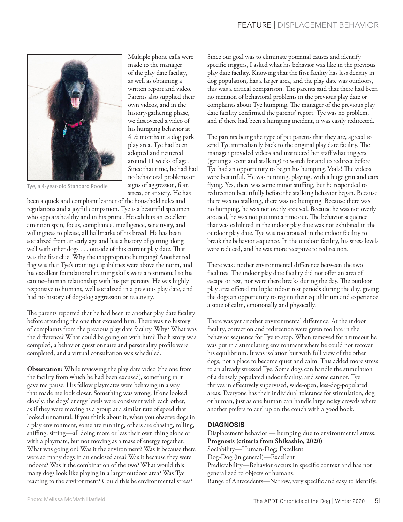

Multiple phone calls were made to the manager of the play date facility, as well as obtaining a written report and video. Parents also supplied their own videos, and in the history-gathering phase, we discovered a video of his humping behavior at 4 ½ months in a dog park play area. Tye had been adopted and neutered around 11 weeks of age. Since that time, he had had no behavioral problems or signs of aggression, fear, stress, or anxiety. He has

Tye, a 4-year-old Standard Poodle

been a quick and compliant learner of the household rules and regulations and a joyful companion. Tye is a beautiful specimen who appears healthy and in his prime. He exhibits an excellent attention span, focus, compliance, intelligence, sensitivity, and willingness to please, all hallmarks of his breed. He has been socialized from an early age and has a history of getting along well with other dogs . . . outside of this current play date. That was the first clue. Why the inappropriate humping? Another red flag was that Tye's training capabilities were above the norm, and his excellent foundational training skills were a testimonial to his canine–human relationship with his pet parents. He was highly responsive to humans, well socialized in a previous play date, and had no history of dog-dog aggression or reactivity.

The parents reported that he had been to another play date facility before attending the one that excused him. There was no history of complaints from the previous play date facility. Why? What was the difference? What could be going on with him? The history was compiled, a behavior questionnaire and personality profile were completed, and a virtual consultation was scheduled.

**Observation:** While reviewing the play date video (the one from the facility from which he had been excused), something in it gave me pause. His fellow playmates were behaving in a way that made me look closer. Something was wrong. If one looked closely, the dogs' energy levels were consistent with each other, as if they were moving as a group at a similar rate of speed that looked unnatural. If you think about it, when you observe dogs in a play environment, some are running, others are chasing, rolling, sniffing, sitting—all doing more or less their own thing alone or with a playmate, but not moving as a mass of energy together. What was going on? Was it the environment? Was it because there were so many dogs in an enclosed area? Was it because they were indoors? Was it the combination of the two? What would this many dogs look like playing in a larger outdoor area? Was Tye reacting to the environment? Could this be environmental stress?

Since our goal was to eliminate potential causes and identify specific triggers, I asked what his behavior was like in the previous play date facility. Knowing that the first facility has less density in dog population, has a larger area, and the play date was outdoors, this was a critical comparison. The parents said that there had been no mention of behavioral problems in the previous play date or complaints about Tye humping. The manager of the previous play date facility confirmed the parents' report. Tye was no problem, and if there had been a humping incident, it was easily redirected.

The parents being the type of pet parents that they are, agreed to send Tye immediately back to the original play date facility. The manager provided videos and instructed her staff what triggers (getting a scent and stalking) to watch for and to redirect before Tye had an opportunity to begin his humping. Voila! The videos were beautiful. He was running, playing, with a huge grin and ears flying. Yes, there was some minor sniffing, but he responded to redirection beautifully before the stalking behavior began. Because there was no stalking, there was no humping. Because there was no humping, he was not overly aroused. Because he was not overly aroused, he was not put into a time out. The behavior sequence that was exhibited in the indoor play date was not exhibited in the outdoor play date. Tye was too aroused in the indoor facility to break the behavior sequence. In the outdoor facility, his stress levels were reduced, and he was more receptive to redirection.

There was another environmental difference between the two facilities. The indoor play date facility did not offer an area of escape or rest, nor were there breaks during the day. The outdoor play area offered multiple indoor rest periods during the day, giving the dogs an opportunity to regain their equilibrium and experience a state of calm, emotionally and physically.

There was yet another environmental difference. At the indoor facility, correction and redirection were given too late in the behavior sequence for Tye to stop. When removed for a timeout he was put in a stimulating environment where he could not recover his equilibrium. It was isolation but with full view of the other dogs, not a place to become quiet and calm. This added more stress to an already stressed Tye. Some dogs can handle the stimulation of a densely populated indoor facility, and some cannot. Tye thrives in effectively supervised, wide-open, less-dog-populated areas. Everyone has their individual tolerance for stimulation, dog or human, just as one human can handle large noisy crowds where another prefers to curl up on the couch with a good book.

## **DIAGNOSIS**

Displacement behavior — humping due to environmental stress. **Prognosis (criteria from Shikashio, 2020)** Sociability—Human-Dog; Excellent Dog-Dog (in general)—Excellent Predictability—Behavior occurs in specific context and has not generalized to objects or humans. Range of Antecedents—Narrow, very specific and easy to identify.